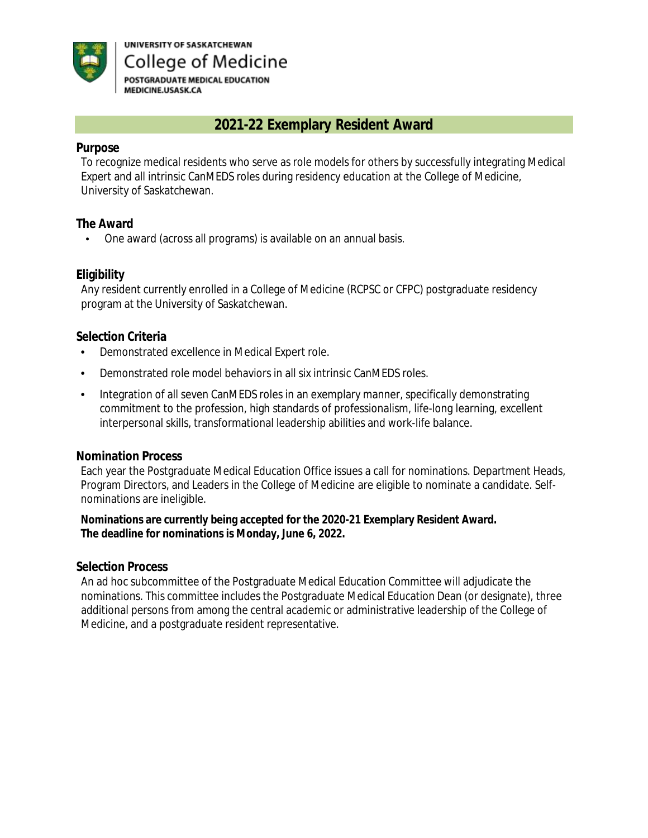

# **2021-22 Exemplary Resident Award**

# **Purpose**

To recognize medical residents who serve as role models for others by successfully integrating Medical Expert and all intrinsic CanMEDS roles during residency education at the College of Medicine, University of Saskatchewan.

# **The Award**

• One award (across all programs) is available on an annual basis.

# **Eligibility**

Any resident currently enrolled in a College of Medicine (RCPSC or CFPC) postgraduate residency program at the University of Saskatchewan.

# **Selection Criteria**

- Demonstrated excellence in Medical Expert role.
- Demonstrated role model behaviors in all six intrinsic CanMEDS roles.
- Integration of all seven CanMEDS roles in an exemplary manner, specifically demonstrating commitment to the profession, high standards of professionalism, life-long learning, excellent interpersonal skills, transformational leadership abilities and work-life balance.

### **Nomination Process**

Each year the Postgraduate Medical Education Office issues a call for nominations. Department Heads, Program Directors, and Leaders in the College of Medicine are eligible to nominate a candidate. Selfnominations are ineligible.

## **Nominations are currently being accepted for the 2020-21 Exemplary Resident Award. The deadline for nominations is Monday, June 6, 2022.**

### **Selection Process**

An ad hoc subcommittee of the Postgraduate Medical Education Committee will adjudicate the nominations. This committee includes the Postgraduate Medical Education Dean (or designate), three additional persons from among the central academic or administrative leadership of the College of Medicine, and a postgraduate resident representative.